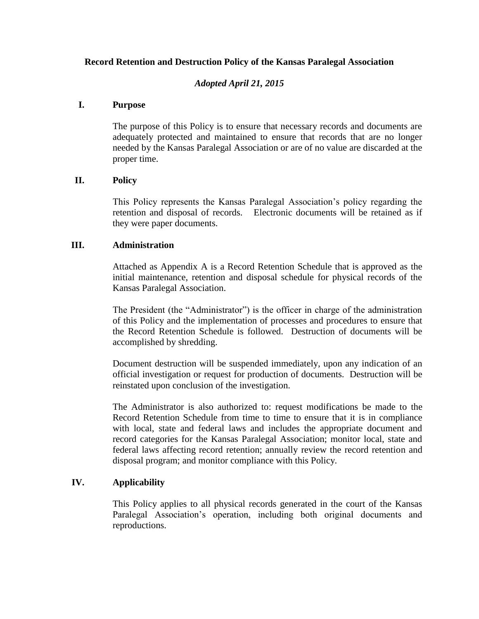## **Record Retention and Destruction Policy of the Kansas Paralegal Association**

## *Adopted April 21, 2015*

### **I. Purpose**

The purpose of this Policy is to ensure that necessary records and documents are adequately protected and maintained to ensure that records that are no longer needed by the Kansas Paralegal Association or are of no value are discarded at the proper time.

### **II. Policy**

This Policy represents the Kansas Paralegal Association's policy regarding the retention and disposal of records. Electronic documents will be retained as if they were paper documents.

#### **III. Administration**

Attached as Appendix A is a Record Retention Schedule that is approved as the initial maintenance, retention and disposal schedule for physical records of the Kansas Paralegal Association.

The President (the "Administrator") is the officer in charge of the administration of this Policy and the implementation of processes and procedures to ensure that the Record Retention Schedule is followed. Destruction of documents will be accomplished by shredding.

Document destruction will be suspended immediately, upon any indication of an official investigation or request for production of documents. Destruction will be reinstated upon conclusion of the investigation.

The Administrator is also authorized to: request modifications be made to the Record Retention Schedule from time to time to ensure that it is in compliance with local, state and federal laws and includes the appropriate document and record categories for the Kansas Paralegal Association; monitor local, state and federal laws affecting record retention; annually review the record retention and disposal program; and monitor compliance with this Policy.

### **IV. Applicability**

This Policy applies to all physical records generated in the court of the Kansas Paralegal Association's operation, including both original documents and reproductions.